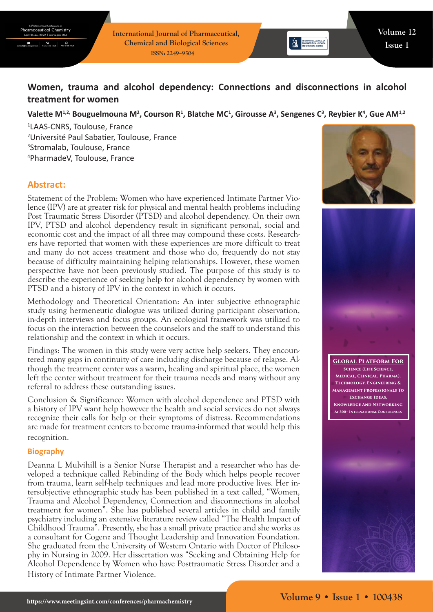**International Journal of Pharmaceutical, Chemical and Biological Sciences ISSN: 2249–9504**

# **Women, trauma and alcohol dependency: Connections and disconnections in alcohol treatment for women**

## Valette M<sup>1,2,</sup> Bouguelmouna M<sup>2</sup>, Courson R<sup>1</sup>, Blatche MC<sup>1</sup>, Girousse A<sup>3</sup>, Sengenes C<sup>3</sup>, Reybier K<sup>4</sup>, Gue AM<sup>1,2</sup>

 LAAS-CNRS, Toulouse, France Université Paul Sabatier, Toulouse, France Stromalab, Toulouse, France PharmadeV, Toulouse, France

# **Abstract:**

Statement of the Problem: Women who have experienced Intimate Partner Violence (IPV) are at greater risk for physical and mental health problems including Post Traumatic Stress Disorder (PTSD) and alcohol dependency. On their own IPV, PTSD and alcohol dependency result in significant personal, social and economic cost and the impact of all three may compound these costs. Researchers have reported that women with these experiences are more difficult to treat and many do not access treatment and those who do, frequently do not stay because of difficulty maintaining helping relationships. However, these women perspective have not been previously studied. The purpose of this study is to describe the experience of seeking help for alcohol dependency by women with PTSD and a history of IPV in the context in which it occurs.

Methodology and Theoretical Orientation: An inter subjective ethnographic study using hermeneutic dialogue was utilized during participant observation, in-depth interviews and focus groups. An ecological framework was utilized to focus on the interaction between the counselors and the staff to understand this relationship and the context in which it occurs.

Findings: The women in this study were very active help seekers. They encountered many gaps in continuity of care including discharge because of relapse. Although the treatment center was a warm, healing and spiritual place, the women left the center without treatment for their trauma needs and many without any referral to address these outstanding issues.

Conclusion & Significance: Women with alcohol dependence and PTSD with a history of IPV want help however the health and social services do not always recognize their calls for help or their symptoms of distress. Recommendations are made for treatment centers to become trauma-informed that would help this recognition.

#### **Biography**

Deanna L Mulvihill is a Senior Nurse Therapist and a researcher who has developed a technique called Rebinding of the Body which helps people recover from trauma, learn self-help techniques and lead more productive lives. Her intersubjective ethnographic study has been published in a text called, "Women, Trauma and Alcohol Dependency, Connection and disconnections in alcohol treatment for women". She has published several articles in child and family psychiatry including an extensive literature review called "The Health Impact of Childhood Trauma". Presently, she has a small private practice and she works as a consultant for Cogenz and Thought Leadership and Innovation Foundation. She graduated from the University of Western Ontario with Doctor of Philosophy in Nursing in 2009. Her dissertation was "Seeking and Obtaining Help for Alcohol Dependence by Women who have Posttraumatic Stress Disorder and a History of Intimate Partner Violence.



**EXAMPLE INTERNATIONAL JOURNAL OF**<br>**AND PHARMACEUTICAL SCIENCES**